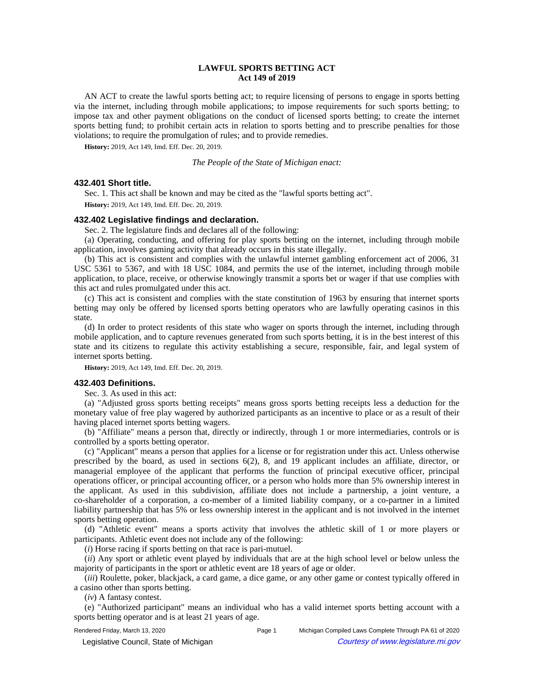# **LAWFUL SPORTS BETTING ACT Act 149 of 2019**

AN ACT to create the lawful sports betting act; to require licensing of persons to engage in sports betting via the internet, including through mobile applications; to impose requirements for such sports betting; to impose tax and other payment obligations on the conduct of licensed sports betting; to create the internet sports betting fund; to prohibit certain acts in relation to sports betting and to prescribe penalties for those violations; to require the promulgation of rules; and to provide remedies.

**History:** 2019, Act 149, Imd. Eff. Dec. 20, 2019.

*The People of the State of Michigan enact:*

# **432.401 Short title.**

Sec. 1. This act shall be known and may be cited as the "lawful sports betting act".

**History:** 2019, Act 149, Imd. Eff. Dec. 20, 2019.

## **432.402 Legislative findings and declaration.**

Sec. 2. The legislature finds and declares all of the following:

(a) Operating, conducting, and offering for play sports betting on the internet, including through mobile application, involves gaming activity that already occurs in this state illegally.

(b) This act is consistent and complies with the unlawful internet gambling enforcement act of 2006, 31 USC 5361 to 5367, and with 18 USC 1084, and permits the use of the internet, including through mobile application, to place, receive, or otherwise knowingly transmit a sports bet or wager if that use complies with this act and rules promulgated under this act.

(c) This act is consistent and complies with the state constitution of 1963 by ensuring that internet sports betting may only be offered by licensed sports betting operators who are lawfully operating casinos in this state.

(d) In order to protect residents of this state who wager on sports through the internet, including through mobile application, and to capture revenues generated from such sports betting, it is in the best interest of this state and its citizens to regulate this activity establishing a secure, responsible, fair, and legal system of internet sports betting.

**History:** 2019, Act 149, Imd. Eff. Dec. 20, 2019.

## **432.403 Definitions.**

Sec. 3. As used in this act:

(a) "Adjusted gross sports betting receipts" means gross sports betting receipts less a deduction for the monetary value of free play wagered by authorized participants as an incentive to place or as a result of their having placed internet sports betting wagers.

(b) "Affiliate" means a person that, directly or indirectly, through 1 or more intermediaries, controls or is controlled by a sports betting operator.

(c) "Applicant" means a person that applies for a license or for registration under this act. Unless otherwise prescribed by the board, as used in sections 6(2), 8, and 19 applicant includes an affiliate, director, or managerial employee of the applicant that performs the function of principal executive officer, principal operations officer, or principal accounting officer, or a person who holds more than 5% ownership interest in the applicant. As used in this subdivision, affiliate does not include a partnership, a joint venture, a co-shareholder of a corporation, a co-member of a limited liability company, or a co-partner in a limited liability partnership that has 5% or less ownership interest in the applicant and is not involved in the internet sports betting operation.

(d) "Athletic event" means a sports activity that involves the athletic skill of 1 or more players or participants. Athletic event does not include any of the following:

(*i*) Horse racing if sports betting on that race is pari-mutuel.

(*ii*) Any sport or athletic event played by individuals that are at the high school level or below unless the majority of participants in the sport or athletic event are 18 years of age or older.

(*iii*) Roulette, poker, blackjack, a card game, a dice game, or any other game or contest typically offered in a casino other than sports betting.

(*iv*) A fantasy contest.

(e) "Authorized participant" means an individual who has a valid internet sports betting account with a sports betting operator and is at least 21 years of age.

Rendered Friday, March 13, 2020 **Page 1** Michigan Compiled Laws Complete Through PA 61 of 2020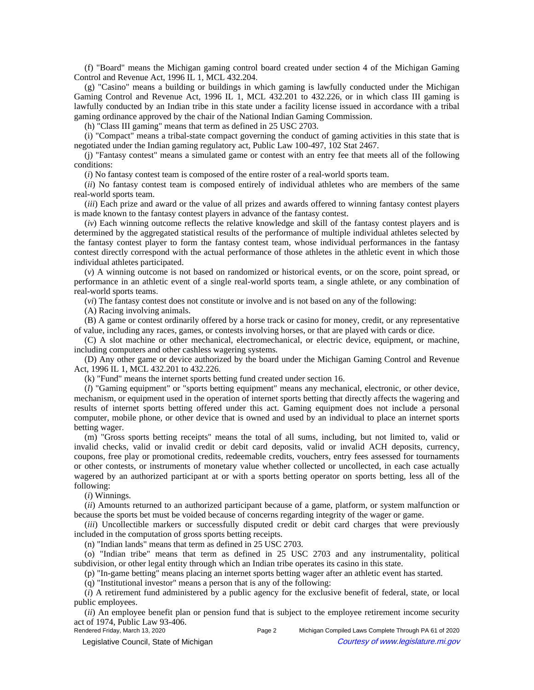(f) "Board" means the Michigan gaming control board created under section 4 of the Michigan Gaming Control and Revenue Act, 1996 IL 1, MCL 432.204.

(g) "Casino" means a building or buildings in which gaming is lawfully conducted under the Michigan Gaming Control and Revenue Act, 1996 IL 1, MCL 432.201 to 432.226, or in which class III gaming is lawfully conducted by an Indian tribe in this state under a facility license issued in accordance with a tribal gaming ordinance approved by the chair of the National Indian Gaming Commission.

(h) "Class III gaming" means that term as defined in 25 USC 2703.

(i) "Compact" means a tribal-state compact governing the conduct of gaming activities in this state that is negotiated under the Indian gaming regulatory act, Public Law 100-497, 102 Stat 2467.

(j) "Fantasy contest" means a simulated game or contest with an entry fee that meets all of the following conditions:

(*i*) No fantasy contest team is composed of the entire roster of a real-world sports team.

(*ii*) No fantasy contest team is composed entirely of individual athletes who are members of the same real-world sports team.

(*iii*) Each prize and award or the value of all prizes and awards offered to winning fantasy contest players is made known to the fantasy contest players in advance of the fantasy contest.

(*iv*) Each winning outcome reflects the relative knowledge and skill of the fantasy contest players and is determined by the aggregated statistical results of the performance of multiple individual athletes selected by the fantasy contest player to form the fantasy contest team, whose individual performances in the fantasy contest directly correspond with the actual performance of those athletes in the athletic event in which those individual athletes participated.

(*v*) A winning outcome is not based on randomized or historical events, or on the score, point spread, or performance in an athletic event of a single real-world sports team, a single athlete, or any combination of real-world sports teams.

(*vi*) The fantasy contest does not constitute or involve and is not based on any of the following:

(A) Racing involving animals.

(B) A game or contest ordinarily offered by a horse track or casino for money, credit, or any representative of value, including any races, games, or contests involving horses, or that are played with cards or dice.

(C) A slot machine or other mechanical, electromechanical, or electric device, equipment, or machine, including computers and other cashless wagering systems.

(D) Any other game or device authorized by the board under the Michigan Gaming Control and Revenue Act, 1996 IL 1, MCL 432.201 to 432.226.

(k) "Fund" means the internet sports betting fund created under section 16.

(*l*) "Gaming equipment" or "sports betting equipment" means any mechanical, electronic, or other device, mechanism, or equipment used in the operation of internet sports betting that directly affects the wagering and results of internet sports betting offered under this act. Gaming equipment does not include a personal computer, mobile phone, or other device that is owned and used by an individual to place an internet sports betting wager.

(m) "Gross sports betting receipts" means the total of all sums, including, but not limited to, valid or invalid checks, valid or invalid credit or debit card deposits, valid or invalid ACH deposits, currency, coupons, free play or promotional credits, redeemable credits, vouchers, entry fees assessed for tournaments or other contests, or instruments of monetary value whether collected or uncollected, in each case actually wagered by an authorized participant at or with a sports betting operator on sports betting, less all of the following:

(*i*) Winnings.

(*ii*) Amounts returned to an authorized participant because of a game, platform, or system malfunction or because the sports bet must be voided because of concerns regarding integrity of the wager or game.

(*iii*) Uncollectible markers or successfully disputed credit or debit card charges that were previously included in the computation of gross sports betting receipts.

(n) "Indian lands" means that term as defined in 25 USC 2703.

(o) "Indian tribe" means that term as defined in 25 USC 2703 and any instrumentality, political subdivision, or other legal entity through which an Indian tribe operates its casino in this state.

(p) "In-game betting" means placing an internet sports betting wager after an athletic event has started.

(q) "Institutional investor" means a person that is any of the following:

(*i*) A retirement fund administered by a public agency for the exclusive benefit of federal, state, or local public employees.

(*ii*) An employee benefit plan or pension fund that is subject to the employee retirement income security act of 1974, Public Law 93-406.<br>Rendered Friday, March 13, 2020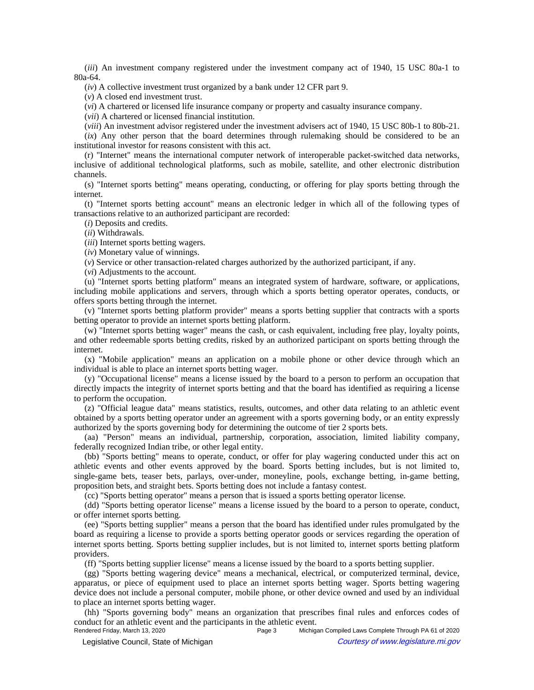(*iii*) An investment company registered under the investment company act of 1940, 15 USC 80a-1 to 80a-64.

(*iv*) A collective investment trust organized by a bank under 12 CFR part 9.

(*v*) A closed end investment trust.

(*vi*) A chartered or licensed life insurance company or property and casualty insurance company.

(*vii*) A chartered or licensed financial institution.

(*viii*) An investment advisor registered under the investment advisers act of 1940, 15 USC 80b-1 to 80b-21.

(*ix*) Any other person that the board determines through rulemaking should be considered to be an institutional investor for reasons consistent with this act.

(r) "Internet" means the international computer network of interoperable packet-switched data networks, inclusive of additional technological platforms, such as mobile, satellite, and other electronic distribution channels.

(s) "Internet sports betting" means operating, conducting, or offering for play sports betting through the internet.

(t) "Internet sports betting account" means an electronic ledger in which all of the following types of transactions relative to an authorized participant are recorded:

(*i*) Deposits and credits.

(*ii*) Withdrawals.

(*iii*) Internet sports betting wagers.

(*iv*) Monetary value of winnings.

(*v*) Service or other transaction-related charges authorized by the authorized participant, if any.

(*vi*) Adjustments to the account.

(u) "Internet sports betting platform" means an integrated system of hardware, software, or applications, including mobile applications and servers, through which a sports betting operator operates, conducts, or offers sports betting through the internet.

(v) "Internet sports betting platform provider" means a sports betting supplier that contracts with a sports betting operator to provide an internet sports betting platform.

(w) "Internet sports betting wager" means the cash, or cash equivalent, including free play, loyalty points, and other redeemable sports betting credits, risked by an authorized participant on sports betting through the internet.

(x) "Mobile application" means an application on a mobile phone or other device through which an individual is able to place an internet sports betting wager.

(y) "Occupational license" means a license issued by the board to a person to perform an occupation that directly impacts the integrity of internet sports betting and that the board has identified as requiring a license to perform the occupation.

(z) "Official league data" means statistics, results, outcomes, and other data relating to an athletic event obtained by a sports betting operator under an agreement with a sports governing body, or an entity expressly authorized by the sports governing body for determining the outcome of tier 2 sports bets.

(aa) "Person" means an individual, partnership, corporation, association, limited liability company, federally recognized Indian tribe, or other legal entity.

(bb) "Sports betting" means to operate, conduct, or offer for play wagering conducted under this act on athletic events and other events approved by the board. Sports betting includes, but is not limited to, single-game bets, teaser bets, parlays, over-under, moneyline, pools, exchange betting, in-game betting, proposition bets, and straight bets. Sports betting does not include a fantasy contest.

(cc) "Sports betting operator" means a person that is issued a sports betting operator license.

(dd) "Sports betting operator license" means a license issued by the board to a person to operate, conduct, or offer internet sports betting.

(ee) "Sports betting supplier" means a person that the board has identified under rules promulgated by the board as requiring a license to provide a sports betting operator goods or services regarding the operation of internet sports betting. Sports betting supplier includes, but is not limited to, internet sports betting platform providers.

(ff) "Sports betting supplier license" means a license issued by the board to a sports betting supplier.

(gg) "Sports betting wagering device" means a mechanical, electrical, or computerized terminal, device, apparatus, or piece of equipment used to place an internet sports betting wager. Sports betting wagering device does not include a personal computer, mobile phone, or other device owned and used by an individual to place an internet sports betting wager.

(hh) "Sports governing body" means an organization that prescribes final rules and enforces codes of conduct for an athletic event and the participants in the athletic event.<br>Rendered Friday, March 13, 2020 Page 3 Michig

Page 3 Michigan Compiled Laws Complete Through PA 61 of 2020 © Legislative Council, State of Michigan Council Courtesy of www.legislature.mi.gov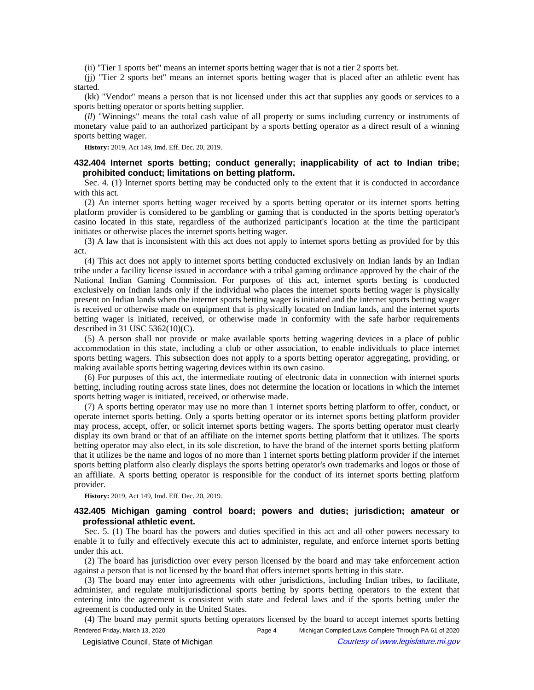(ii) "Tier 1 sports bet" means an internet sports betting wager that is not a tier 2 sports bet.

(jj) "Tier 2 sports bet" means an internet sports betting wager that is placed after an athletic event has started.

(kk) "Vendor" means a person that is not licensed under this act that supplies any goods or services to a sports betting operator or sports betting supplier.

(*ll*) "Winnings" means the total cash value of all property or sums including currency or instruments of monetary value paid to an authorized participant by a sports betting operator as a direct result of a winning sports betting wager.

**History:** 2019, Act 149, Imd. Eff. Dec. 20, 2019.

# **432.404 Internet sports betting; conduct generally; inapplicability of act to Indian tribe; prohibited conduct; limitations on betting platform.**

Sec. 4. (1) Internet sports betting may be conducted only to the extent that it is conducted in accordance with this act.

(2) An internet sports betting wager received by a sports betting operator or its internet sports betting platform provider is considered to be gambling or gaming that is conducted in the sports betting operator's casino located in this state, regardless of the authorized participant's location at the time the participant initiates or otherwise places the internet sports betting wager.

(3) A law that is inconsistent with this act does not apply to internet sports betting as provided for by this act.

(4) This act does not apply to internet sports betting conducted exclusively on Indian lands by an Indian tribe under a facility license issued in accordance with a tribal gaming ordinance approved by the chair of the National Indian Gaming Commission. For purposes of this act, internet sports betting is conducted exclusively on Indian lands only if the individual who places the internet sports betting wager is physically present on Indian lands when the internet sports betting wager is initiated and the internet sports betting wager is received or otherwise made on equipment that is physically located on Indian lands, and the internet sports betting wager is initiated, received, or otherwise made in conformity with the safe harbor requirements described in 31 USC 5362(10)(C).

(5) A person shall not provide or make available sports betting wagering devices in a place of public accommodation in this state, including a club or other association, to enable individuals to place internet sports betting wagers. This subsection does not apply to a sports betting operator aggregating, providing, or making available sports betting wagering devices within its own casino.

(6) For purposes of this act, the intermediate routing of electronic data in connection with internet sports betting, including routing across state lines, does not determine the location or locations in which the internet sports betting wager is initiated, received, or otherwise made.

(7) A sports betting operator may use no more than 1 internet sports betting platform to offer, conduct, or operate internet sports betting. Only a sports betting operator or its internet sports betting platform provider may process, accept, offer, or solicit internet sports betting wagers. The sports betting operator must clearly display its own brand or that of an affiliate on the internet sports betting platform that it utilizes. The sports betting operator may also elect, in its sole discretion, to have the brand of the internet sports betting platform that it utilizes be the name and logos of no more than 1 internet sports betting platform provider if the internet sports betting platform also clearly displays the sports betting operator's own trademarks and logos or those of an affiliate. A sports betting operator is responsible for the conduct of its internet sports betting platform provider.

**History:** 2019, Act 149, Imd. Eff. Dec. 20, 2019.

## **432.405 Michigan gaming control board; powers and duties; jurisdiction; amateur or professional athletic event.**

Sec. 5. (1) The board has the powers and duties specified in this act and all other powers necessary to enable it to fully and effectively execute this act to administer, regulate, and enforce internet sports betting under this act.

(2) The board has jurisdiction over every person licensed by the board and may take enforcement action against a person that is not licensed by the board that offers internet sports betting in this state.

(3) The board may enter into agreements with other jurisdictions, including Indian tribes, to facilitate, administer, and regulate multijurisdictional sports betting by sports betting operators to the extent that entering into the agreement is consistent with state and federal laws and if the sports betting under the agreement is conducted only in the United States.

(4) The board may permit sports betting operators licensed by the board to accept internet sports betting Rendered Friday, March 13, 2020 **Page 4** Michigan Compiled Laws Complete Through PA 61 of 2020 © Legislative Council, State of Michigan Council Courtesy of www.legislature.mi.gov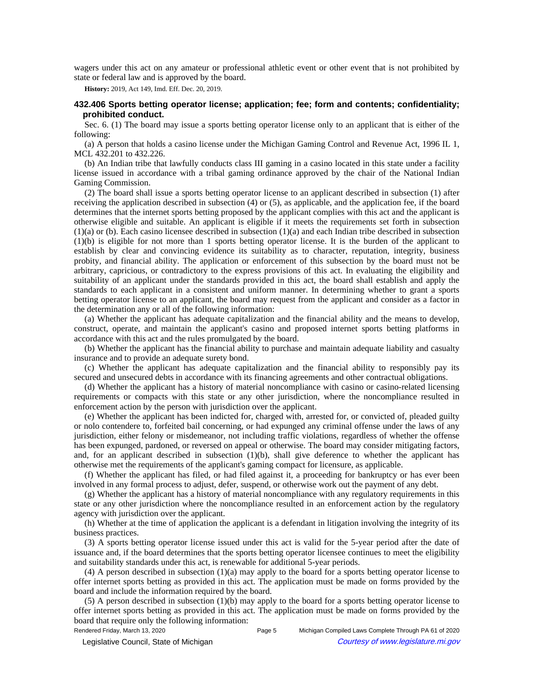wagers under this act on any amateur or professional athletic event or other event that is not prohibited by state or federal law and is approved by the board.

**History:** 2019, Act 149, Imd. Eff. Dec. 20, 2019.

## **432.406 Sports betting operator license; application; fee; form and contents; confidentiality; prohibited conduct.**

Sec. 6. (1) The board may issue a sports betting operator license only to an applicant that is either of the following:

(a) A person that holds a casino license under the Michigan Gaming Control and Revenue Act, 1996 IL 1, MCL 432.201 to 432.226.

(b) An Indian tribe that lawfully conducts class III gaming in a casino located in this state under a facility license issued in accordance with a tribal gaming ordinance approved by the chair of the National Indian Gaming Commission.

(2) The board shall issue a sports betting operator license to an applicant described in subsection (1) after receiving the application described in subsection (4) or (5), as applicable, and the application fee, if the board determines that the internet sports betting proposed by the applicant complies with this act and the applicant is otherwise eligible and suitable. An applicant is eligible if it meets the requirements set forth in subsection  $(1)(a)$  or (b). Each casino licensee described in subsection  $(1)(a)$  and each Indian tribe described in subsection (1)(b) is eligible for not more than 1 sports betting operator license. It is the burden of the applicant to establish by clear and convincing evidence its suitability as to character, reputation, integrity, business probity, and financial ability. The application or enforcement of this subsection by the board must not be arbitrary, capricious, or contradictory to the express provisions of this act. In evaluating the eligibility and suitability of an applicant under the standards provided in this act, the board shall establish and apply the standards to each applicant in a consistent and uniform manner. In determining whether to grant a sports betting operator license to an applicant, the board may request from the applicant and consider as a factor in the determination any or all of the following information:

(a) Whether the applicant has adequate capitalization and the financial ability and the means to develop, construct, operate, and maintain the applicant's casino and proposed internet sports betting platforms in accordance with this act and the rules promulgated by the board.

(b) Whether the applicant has the financial ability to purchase and maintain adequate liability and casualty insurance and to provide an adequate surety bond.

(c) Whether the applicant has adequate capitalization and the financial ability to responsibly pay its secured and unsecured debts in accordance with its financing agreements and other contractual obligations.

(d) Whether the applicant has a history of material noncompliance with casino or casino-related licensing requirements or compacts with this state or any other jurisdiction, where the noncompliance resulted in enforcement action by the person with jurisdiction over the applicant.

(e) Whether the applicant has been indicted for, charged with, arrested for, or convicted of, pleaded guilty or nolo contendere to, forfeited bail concerning, or had expunged any criminal offense under the laws of any jurisdiction, either felony or misdemeanor, not including traffic violations, regardless of whether the offense has been expunged, pardoned, or reversed on appeal or otherwise. The board may consider mitigating factors, and, for an applicant described in subsection (1)(b), shall give deference to whether the applicant has otherwise met the requirements of the applicant's gaming compact for licensure, as applicable.

(f) Whether the applicant has filed, or had filed against it, a proceeding for bankruptcy or has ever been involved in any formal process to adjust, defer, suspend, or otherwise work out the payment of any debt.

(g) Whether the applicant has a history of material noncompliance with any regulatory requirements in this state or any other jurisdiction where the noncompliance resulted in an enforcement action by the regulatory agency with jurisdiction over the applicant.

(h) Whether at the time of application the applicant is a defendant in litigation involving the integrity of its business practices.

(3) A sports betting operator license issued under this act is valid for the 5-year period after the date of issuance and, if the board determines that the sports betting operator licensee continues to meet the eligibility and suitability standards under this act, is renewable for additional 5-year periods.

(4) A person described in subsection (1)(a) may apply to the board for a sports betting operator license to offer internet sports betting as provided in this act. The application must be made on forms provided by the board and include the information required by the board.

(5) A person described in subsection (1)(b) may apply to the board for a sports betting operator license to offer internet sports betting as provided in this act. The application must be made on forms provided by the board that require only the following information: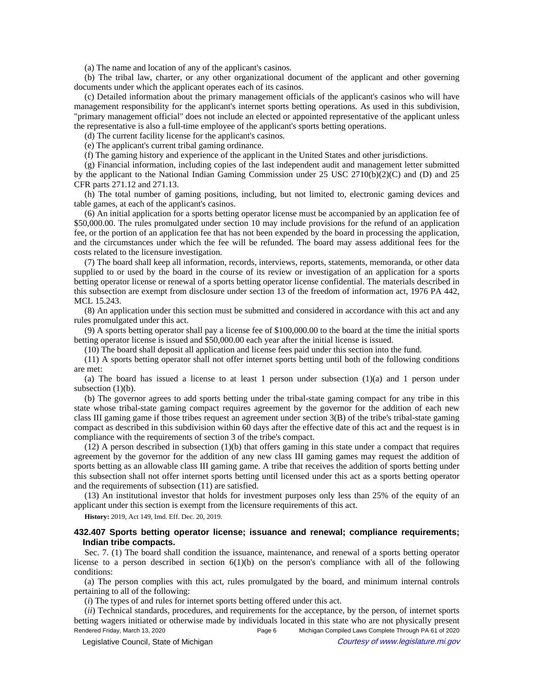(a) The name and location of any of the applicant's casinos.

(b) The tribal law, charter, or any other organizational document of the applicant and other governing documents under which the applicant operates each of its casinos.

(c) Detailed information about the primary management officials of the applicant's casinos who will have management responsibility for the applicant's internet sports betting operations. As used in this subdivision, "primary management official" does not include an elected or appointed representative of the applicant unless the representative is also a full-time employee of the applicant's sports betting operations.

(d) The current facility license for the applicant's casinos.

(e) The applicant's current tribal gaming ordinance.

(f) The gaming history and experience of the applicant in the United States and other jurisdictions.

(g) Financial information, including copies of the last independent audit and management letter submitted by the applicant to the National Indian Gaming Commission under 25 USC 2710(b)(2)(C) and (D) and 25 CFR parts 271.12 and 271.13.

(h) The total number of gaming positions, including, but not limited to, electronic gaming devices and table games, at each of the applicant's casinos.

(6) An initial application for a sports betting operator license must be accompanied by an application fee of \$50,000.00. The rules promulgated under section 10 may include provisions for the refund of an application fee, or the portion of an application fee that has not been expended by the board in processing the application, and the circumstances under which the fee will be refunded. The board may assess additional fees for the costs related to the licensure investigation.

(7) The board shall keep all information, records, interviews, reports, statements, memoranda, or other data supplied to or used by the board in the course of its review or investigation of an application for a sports betting operator license or renewal of a sports betting operator license confidential. The materials described in this subsection are exempt from disclosure under section 13 of the freedom of information act, 1976 PA 442, MCL 15.243.

(8) An application under this section must be submitted and considered in accordance with this act and any rules promulgated under this act.

(9) A sports betting operator shall pay a license fee of \$100,000.00 to the board at the time the initial sports betting operator license is issued and \$50,000.00 each year after the initial license is issued.

(10) The board shall deposit all application and license fees paid under this section into the fund.

(11) A sports betting operator shall not offer internet sports betting until both of the following conditions are met:

(a) The board has issued a license to at least 1 person under subsection  $(1)(a)$  and 1 person under subsection  $(1)(b)$ .

(b) The governor agrees to add sports betting under the tribal-state gaming compact for any tribe in this state whose tribal-state gaming compact requires agreement by the governor for the addition of each new class III gaming game if those tribes request an agreement under section 3(B) of the tribe's tribal-state gaming compact as described in this subdivision within 60 days after the effective date of this act and the request is in compliance with the requirements of section 3 of the tribe's compact.

(12) A person described in subsection (1)(b) that offers gaming in this state under a compact that requires agreement by the governor for the addition of any new class III gaming games may request the addition of sports betting as an allowable class III gaming game. A tribe that receives the addition of sports betting under this subsection shall not offer internet sports betting until licensed under this act as a sports betting operator and the requirements of subsection (11) are satisfied.

(13) An institutional investor that holds for investment purposes only less than 25% of the equity of an applicant under this section is exempt from the licensure requirements of this act.

**History:** 2019, Act 149, Imd. Eff. Dec. 20, 2019.

## **432.407 Sports betting operator license; issuance and renewal; compliance requirements; Indian tribe compacts.**

Sec. 7. (1) The board shall condition the issuance, maintenance, and renewal of a sports betting operator license to a person described in section 6(1)(b) on the person's compliance with all of the following conditions:

(a) The person complies with this act, rules promulgated by the board, and minimum internal controls pertaining to all of the following:

(*i*) The types of and rules for internet sports betting offered under this act.

(*ii*) Technical standards, procedures, and requirements for the acceptance, by the person, of internet sports betting wagers initiated or otherwise made by individuals located in this state who are not physically present Rendered Friday, March 13, 2020 **Page 6** Michigan Compiled Laws Complete Through PA 61 of 2020

© Legislative Council, State of Michigan Council Courtesy of www.legislature.mi.gov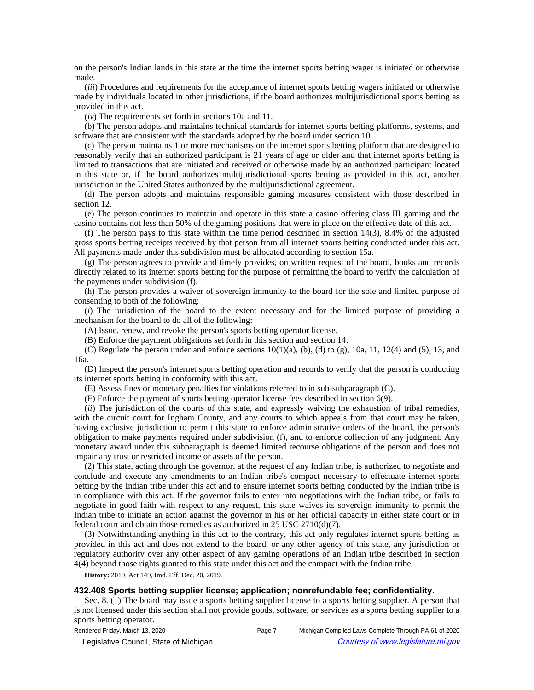on the person's Indian lands in this state at the time the internet sports betting wager is initiated or otherwise made.

(*iii*) Procedures and requirements for the acceptance of internet sports betting wagers initiated or otherwise made by individuals located in other jurisdictions, if the board authorizes multijurisdictional sports betting as provided in this act.

(*iv*) The requirements set forth in sections 10a and 11.

(b) The person adopts and maintains technical standards for internet sports betting platforms, systems, and software that are consistent with the standards adopted by the board under section 10.

(c) The person maintains 1 or more mechanisms on the internet sports betting platform that are designed to reasonably verify that an authorized participant is 21 years of age or older and that internet sports betting is limited to transactions that are initiated and received or otherwise made by an authorized participant located in this state or, if the board authorizes multijurisdictional sports betting as provided in this act, another jurisdiction in the United States authorized by the multijurisdictional agreement.

(d) The person adopts and maintains responsible gaming measures consistent with those described in section 12.

(e) The person continues to maintain and operate in this state a casino offering class III gaming and the casino contains not less than 50% of the gaming positions that were in place on the effective date of this act.

(f) The person pays to this state within the time period described in section 14(3), 8.4% of the adjusted gross sports betting receipts received by that person from all internet sports betting conducted under this act. All payments made under this subdivision must be allocated according to section 15a.

(g) The person agrees to provide and timely provides, on written request of the board, books and records directly related to its internet sports betting for the purpose of permitting the board to verify the calculation of the payments under subdivision (f).

(h) The person provides a waiver of sovereign immunity to the board for the sole and limited purpose of consenting to both of the following:

(*i*) The jurisdiction of the board to the extent necessary and for the limited purpose of providing a mechanism for the board to do all of the following:

(A) Issue, renew, and revoke the person's sports betting operator license.

(B) Enforce the payment obligations set forth in this section and section 14.

(C) Regulate the person under and enforce sections  $10(1)(a)$ , (b), (d) to (g), 10a, 11, 12(4) and (5), 13, and 16a.

(D) Inspect the person's internet sports betting operation and records to verify that the person is conducting its internet sports betting in conformity with this act.

(E) Assess fines or monetary penalties for violations referred to in sub-subparagraph (C).

(F) Enforce the payment of sports betting operator license fees described in section 6(9).

(*ii*) The jurisdiction of the courts of this state, and expressly waiving the exhaustion of tribal remedies, with the circuit court for Ingham County, and any courts to which appeals from that court may be taken, having exclusive jurisdiction to permit this state to enforce administrative orders of the board, the person's obligation to make payments required under subdivision (f), and to enforce collection of any judgment. Any monetary award under this subparagraph is deemed limited recourse obligations of the person and does not impair any trust or restricted income or assets of the person.

(2) This state, acting through the governor, at the request of any Indian tribe, is authorized to negotiate and conclude and execute any amendments to an Indian tribe's compact necessary to effectuate internet sports betting by the Indian tribe under this act and to ensure internet sports betting conducted by the Indian tribe is in compliance with this act. If the governor fails to enter into negotiations with the Indian tribe, or fails to negotiate in good faith with respect to any request, this state waives its sovereign immunity to permit the Indian tribe to initiate an action against the governor in his or her official capacity in either state court or in federal court and obtain those remedies as authorized in 25 USC 2710(d)(7).

(3) Notwithstanding anything in this act to the contrary, this act only regulates internet sports betting as provided in this act and does not extend to the board, or any other agency of this state, any jurisdiction or regulatory authority over any other aspect of any gaming operations of an Indian tribe described in section 4(4) beyond those rights granted to this state under this act and the compact with the Indian tribe.

**History:** 2019, Act 149, Imd. Eff. Dec. 20, 2019.

## **432.408 Sports betting supplier license; application; nonrefundable fee; confidentiality.**

Sec. 8. (1) The board may issue a sports betting supplier license to a sports betting supplier. A person that is not licensed under this section shall not provide goods, software, or services as a sports betting supplier to a sports betting operator.

© Legislative Council, State of Michigan Council Courtesy of www.legislature.mi.gov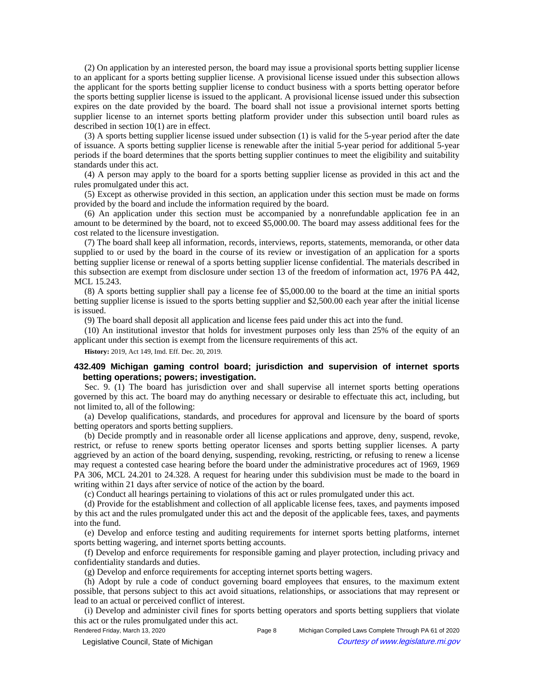(2) On application by an interested person, the board may issue a provisional sports betting supplier license to an applicant for a sports betting supplier license. A provisional license issued under this subsection allows the applicant for the sports betting supplier license to conduct business with a sports betting operator before the sports betting supplier license is issued to the applicant. A provisional license issued under this subsection expires on the date provided by the board. The board shall not issue a provisional internet sports betting supplier license to an internet sports betting platform provider under this subsection until board rules as described in section 10(1) are in effect.

(3) A sports betting supplier license issued under subsection (1) is valid for the 5-year period after the date of issuance. A sports betting supplier license is renewable after the initial 5-year period for additional 5-year periods if the board determines that the sports betting supplier continues to meet the eligibility and suitability standards under this act.

(4) A person may apply to the board for a sports betting supplier license as provided in this act and the rules promulgated under this act.

(5) Except as otherwise provided in this section, an application under this section must be made on forms provided by the board and include the information required by the board.

(6) An application under this section must be accompanied by a nonrefundable application fee in an amount to be determined by the board, not to exceed \$5,000.00. The board may assess additional fees for the cost related to the licensure investigation.

(7) The board shall keep all information, records, interviews, reports, statements, memoranda, or other data supplied to or used by the board in the course of its review or investigation of an application for a sports betting supplier license or renewal of a sports betting supplier license confidential. The materials described in this subsection are exempt from disclosure under section 13 of the freedom of information act, 1976 PA 442, MCL 15.243.

(8) A sports betting supplier shall pay a license fee of \$5,000.00 to the board at the time an initial sports betting supplier license is issued to the sports betting supplier and \$2,500.00 each year after the initial license is issued.

(9) The board shall deposit all application and license fees paid under this act into the fund.

(10) An institutional investor that holds for investment purposes only less than 25% of the equity of an applicant under this section is exempt from the licensure requirements of this act.

**History:** 2019, Act 149, Imd. Eff. Dec. 20, 2019.

## **432.409 Michigan gaming control board; jurisdiction and supervision of internet sports betting operations; powers; investigation.**

Sec. 9. (1) The board has jurisdiction over and shall supervise all internet sports betting operations governed by this act. The board may do anything necessary or desirable to effectuate this act, including, but not limited to, all of the following:

(a) Develop qualifications, standards, and procedures for approval and licensure by the board of sports betting operators and sports betting suppliers.

(b) Decide promptly and in reasonable order all license applications and approve, deny, suspend, revoke, restrict, or refuse to renew sports betting operator licenses and sports betting supplier licenses. A party aggrieved by an action of the board denying, suspending, revoking, restricting, or refusing to renew a license may request a contested case hearing before the board under the administrative procedures act of 1969, 1969 PA 306, MCL 24.201 to 24.328. A request for hearing under this subdivision must be made to the board in writing within 21 days after service of notice of the action by the board.

(c) Conduct all hearings pertaining to violations of this act or rules promulgated under this act.

(d) Provide for the establishment and collection of all applicable license fees, taxes, and payments imposed by this act and the rules promulgated under this act and the deposit of the applicable fees, taxes, and payments into the fund.

(e) Develop and enforce testing and auditing requirements for internet sports betting platforms, internet sports betting wagering, and internet sports betting accounts.

(f) Develop and enforce requirements for responsible gaming and player protection, including privacy and confidentiality standards and duties.

(g) Develop and enforce requirements for accepting internet sports betting wagers.

(h) Adopt by rule a code of conduct governing board employees that ensures, to the maximum extent possible, that persons subject to this act avoid situations, relationships, or associations that may represent or lead to an actual or perceived conflict of interest.

(i) Develop and administer civil fines for sports betting operators and sports betting suppliers that violate this act or the rules promulgated under this act.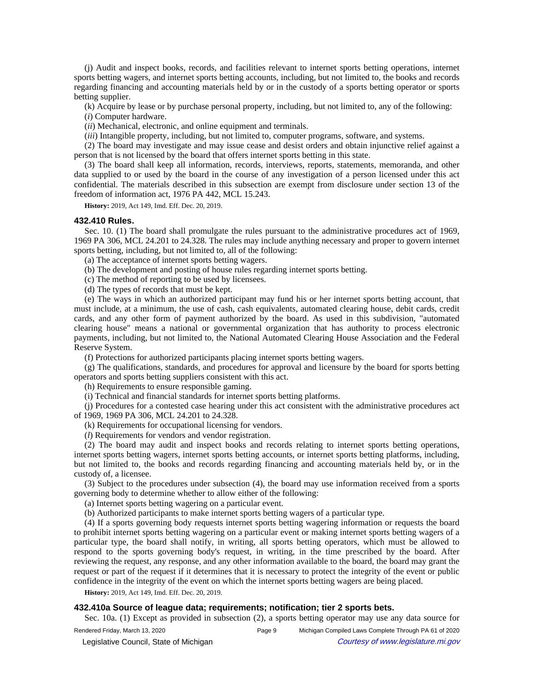(j) Audit and inspect books, records, and facilities relevant to internet sports betting operations, internet sports betting wagers, and internet sports betting accounts, including, but not limited to, the books and records regarding financing and accounting materials held by or in the custody of a sports betting operator or sports betting supplier.

(k) Acquire by lease or by purchase personal property, including, but not limited to, any of the following:

(*i*) Computer hardware.

(*ii*) Mechanical, electronic, and online equipment and terminals.

(*iii*) Intangible property, including, but not limited to, computer programs, software, and systems.

(2) The board may investigate and may issue cease and desist orders and obtain injunctive relief against a person that is not licensed by the board that offers internet sports betting in this state.

(3) The board shall keep all information, records, interviews, reports, statements, memoranda, and other data supplied to or used by the board in the course of any investigation of a person licensed under this act confidential. The materials described in this subsection are exempt from disclosure under section 13 of the freedom of information act, 1976 PA 442, MCL 15.243.

**History:** 2019, Act 149, Imd. Eff. Dec. 20, 2019.

#### **432.410 Rules.**

Sec. 10. (1) The board shall promulgate the rules pursuant to the administrative procedures act of 1969, 1969 PA 306, MCL 24.201 to 24.328. The rules may include anything necessary and proper to govern internet sports betting, including, but not limited to, all of the following:

(a) The acceptance of internet sports betting wagers.

(b) The development and posting of house rules regarding internet sports betting.

(c) The method of reporting to be used by licensees.

(d) The types of records that must be kept.

(e) The ways in which an authorized participant may fund his or her internet sports betting account, that must include, at a minimum, the use of cash, cash equivalents, automated clearing house, debit cards, credit cards, and any other form of payment authorized by the board. As used in this subdivision, "automated clearing house" means a national or governmental organization that has authority to process electronic payments, including, but not limited to, the National Automated Clearing House Association and the Federal Reserve System.

(f) Protections for authorized participants placing internet sports betting wagers.

(g) The qualifications, standards, and procedures for approval and licensure by the board for sports betting operators and sports betting suppliers consistent with this act.

(h) Requirements to ensure responsible gaming.

(i) Technical and financial standards for internet sports betting platforms.

(j) Procedures for a contested case hearing under this act consistent with the administrative procedures act of 1969, 1969 PA 306, MCL 24.201 to 24.328.

(k) Requirements for occupational licensing for vendors.

(*l*) Requirements for vendors and vendor registration.

(2) The board may audit and inspect books and records relating to internet sports betting operations, internet sports betting wagers, internet sports betting accounts, or internet sports betting platforms, including, but not limited to, the books and records regarding financing and accounting materials held by, or in the custody of, a licensee.

(3) Subject to the procedures under subsection (4), the board may use information received from a sports governing body to determine whether to allow either of the following:

(a) Internet sports betting wagering on a particular event.

(b) Authorized participants to make internet sports betting wagers of a particular type.

(4) If a sports governing body requests internet sports betting wagering information or requests the board to prohibit internet sports betting wagering on a particular event or making internet sports betting wagers of a particular type, the board shall notify, in writing, all sports betting operators, which must be allowed to respond to the sports governing body's request, in writing, in the time prescribed by the board. After reviewing the request, any response, and any other information available to the board, the board may grant the request or part of the request if it determines that it is necessary to protect the integrity of the event or public confidence in the integrity of the event on which the internet sports betting wagers are being placed.

**History:** 2019, Act 149, Imd. Eff. Dec. 20, 2019.

## **432.410a Source of league data; requirements; notification; tier 2 sports bets.**

Sec. 10a. (1) Except as provided in subsection (2), a sports betting operator may use any data source for

Rendered Friday, March 13, 2020 **Page 9** Michigan Compiled Laws Complete Through PA 61 of 2020

© Legislative Council, State of Michigan Council Courtesy of www.legislature.mi.gov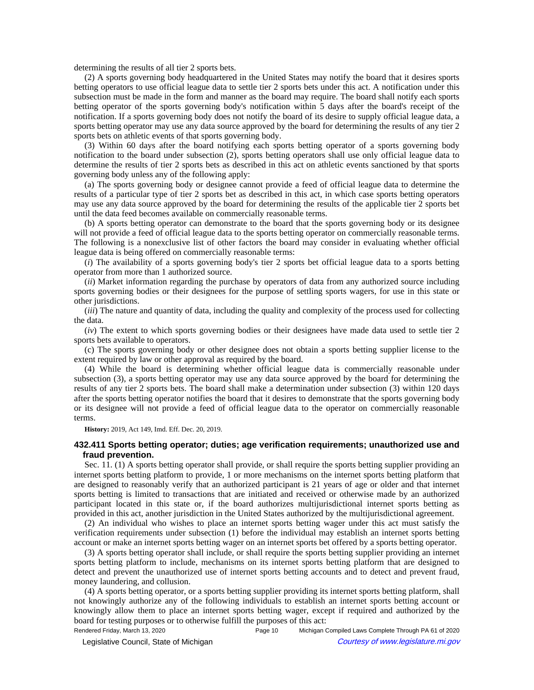determining the results of all tier 2 sports bets.

(2) A sports governing body headquartered in the United States may notify the board that it desires sports betting operators to use official league data to settle tier 2 sports bets under this act. A notification under this subsection must be made in the form and manner as the board may require. The board shall notify each sports betting operator of the sports governing body's notification within 5 days after the board's receipt of the notification. If a sports governing body does not notify the board of its desire to supply official league data, a sports betting operator may use any data source approved by the board for determining the results of any tier 2 sports bets on athletic events of that sports governing body.

(3) Within 60 days after the board notifying each sports betting operator of a sports governing body notification to the board under subsection (2), sports betting operators shall use only official league data to determine the results of tier 2 sports bets as described in this act on athletic events sanctioned by that sports governing body unless any of the following apply:

(a) The sports governing body or designee cannot provide a feed of official league data to determine the results of a particular type of tier 2 sports bet as described in this act, in which case sports betting operators may use any data source approved by the board for determining the results of the applicable tier 2 sports bet until the data feed becomes available on commercially reasonable terms.

(b) A sports betting operator can demonstrate to the board that the sports governing body or its designee will not provide a feed of official league data to the sports betting operator on commercially reasonable terms. The following is a nonexclusive list of other factors the board may consider in evaluating whether official league data is being offered on commercially reasonable terms:

(*i*) The availability of a sports governing body's tier 2 sports bet official league data to a sports betting operator from more than 1 authorized source.

(*ii*) Market information regarding the purchase by operators of data from any authorized source including sports governing bodies or their designees for the purpose of settling sports wagers, for use in this state or other jurisdictions.

(*iii*) The nature and quantity of data, including the quality and complexity of the process used for collecting the data.

(*iv*) The extent to which sports governing bodies or their designees have made data used to settle tier 2 sports bets available to operators.

(c) The sports governing body or other designee does not obtain a sports betting supplier license to the extent required by law or other approval as required by the board.

(4) While the board is determining whether official league data is commercially reasonable under subsection (3), a sports betting operator may use any data source approved by the board for determining the results of any tier 2 sports bets. The board shall make a determination under subsection (3) within 120 days after the sports betting operator notifies the board that it desires to demonstrate that the sports governing body or its designee will not provide a feed of official league data to the operator on commercially reasonable terms.

**History:** 2019, Act 149, Imd. Eff. Dec. 20, 2019.

## **432.411 Sports betting operator; duties; age verification requirements; unauthorized use and fraud prevention.**

Sec. 11. (1) A sports betting operator shall provide, or shall require the sports betting supplier providing an internet sports betting platform to provide, 1 or more mechanisms on the internet sports betting platform that are designed to reasonably verify that an authorized participant is 21 years of age or older and that internet sports betting is limited to transactions that are initiated and received or otherwise made by an authorized participant located in this state or, if the board authorizes multijurisdictional internet sports betting as provided in this act, another jurisdiction in the United States authorized by the multijurisdictional agreement.

(2) An individual who wishes to place an internet sports betting wager under this act must satisfy the verification requirements under subsection (1) before the individual may establish an internet sports betting account or make an internet sports betting wager on an internet sports bet offered by a sports betting operator.

(3) A sports betting operator shall include, or shall require the sports betting supplier providing an internet sports betting platform to include, mechanisms on its internet sports betting platform that are designed to detect and prevent the unauthorized use of internet sports betting accounts and to detect and prevent fraud, money laundering, and collusion.

(4) A sports betting operator, or a sports betting supplier providing its internet sports betting platform, shall not knowingly authorize any of the following individuals to establish an internet sports betting account or knowingly allow them to place an internet sports betting wager, except if required and authorized by the board for testing purposes or to otherwise fulfill the purposes of this act:

Rendered Friday, March 13, 2020 **Page 10** Page 10 Michigan Compiled Laws Complete Through PA 61 of 2020 Legislative Council, State of Michigan Courtesy of www.legislature.mi.gov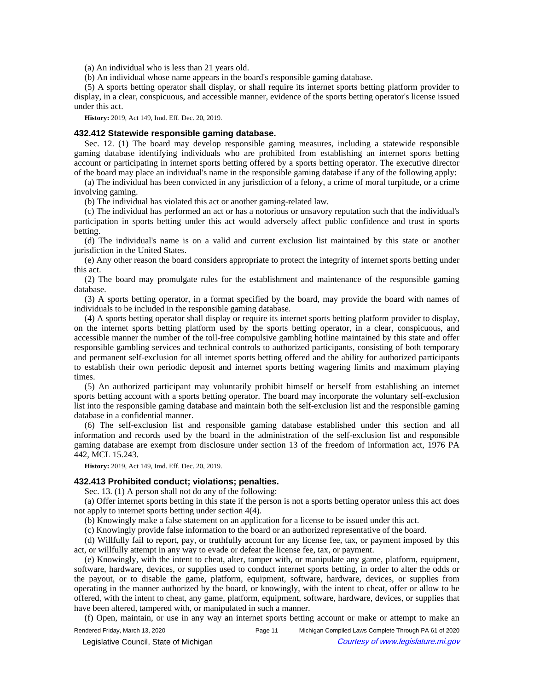(a) An individual who is less than 21 years old.

(b) An individual whose name appears in the board's responsible gaming database.

(5) A sports betting operator shall display, or shall require its internet sports betting platform provider to display, in a clear, conspicuous, and accessible manner, evidence of the sports betting operator's license issued under this act.

**History:** 2019, Act 149, Imd. Eff. Dec. 20, 2019.

### **432.412 Statewide responsible gaming database.**

Sec. 12. (1) The board may develop responsible gaming measures, including a statewide responsible gaming database identifying individuals who are prohibited from establishing an internet sports betting account or participating in internet sports betting offered by a sports betting operator. The executive director of the board may place an individual's name in the responsible gaming database if any of the following apply:

(a) The individual has been convicted in any jurisdiction of a felony, a crime of moral turpitude, or a crime involving gaming.

(b) The individual has violated this act or another gaming-related law.

(c) The individual has performed an act or has a notorious or unsavory reputation such that the individual's participation in sports betting under this act would adversely affect public confidence and trust in sports betting.

(d) The individual's name is on a valid and current exclusion list maintained by this state or another jurisdiction in the United States.

(e) Any other reason the board considers appropriate to protect the integrity of internet sports betting under this act.

(2) The board may promulgate rules for the establishment and maintenance of the responsible gaming database.

(3) A sports betting operator, in a format specified by the board, may provide the board with names of individuals to be included in the responsible gaming database.

(4) A sports betting operator shall display or require its internet sports betting platform provider to display, on the internet sports betting platform used by the sports betting operator, in a clear, conspicuous, and accessible manner the number of the toll-free compulsive gambling hotline maintained by this state and offer responsible gambling services and technical controls to authorized participants, consisting of both temporary and permanent self-exclusion for all internet sports betting offered and the ability for authorized participants to establish their own periodic deposit and internet sports betting wagering limits and maximum playing times.

(5) An authorized participant may voluntarily prohibit himself or herself from establishing an internet sports betting account with a sports betting operator. The board may incorporate the voluntary self-exclusion list into the responsible gaming database and maintain both the self-exclusion list and the responsible gaming database in a confidential manner.

(6) The self-exclusion list and responsible gaming database established under this section and all information and records used by the board in the administration of the self-exclusion list and responsible gaming database are exempt from disclosure under section 13 of the freedom of information act, 1976 PA 442, MCL 15.243.

**History:** 2019, Act 149, Imd. Eff. Dec. 20, 2019.

#### **432.413 Prohibited conduct; violations; penalties.**

Sec. 13. (1) A person shall not do any of the following:

(a) Offer internet sports betting in this state if the person is not a sports betting operator unless this act does not apply to internet sports betting under section 4(4).

(b) Knowingly make a false statement on an application for a license to be issued under this act.

(c) Knowingly provide false information to the board or an authorized representative of the board.

(d) Willfully fail to report, pay, or truthfully account for any license fee, tax, or payment imposed by this act, or willfully attempt in any way to evade or defeat the license fee, tax, or payment.

(e) Knowingly, with the intent to cheat, alter, tamper with, or manipulate any game, platform, equipment, software, hardware, devices, or supplies used to conduct internet sports betting, in order to alter the odds or the payout, or to disable the game, platform, equipment, software, hardware, devices, or supplies from operating in the manner authorized by the board, or knowingly, with the intent to cheat, offer or allow to be offered, with the intent to cheat, any game, platform, equipment, software, hardware, devices, or supplies that have been altered, tampered with, or manipulated in such a manner.

(f) Open, maintain, or use in any way an internet sports betting account or make or attempt to make an

Rendered Friday, March 13, 2020 **Page 11** Michigan Compiled Laws Complete Through PA 61 of 2020 © Legislative Council, State of Michigan Council Courtesy of www.legislature.mi.gov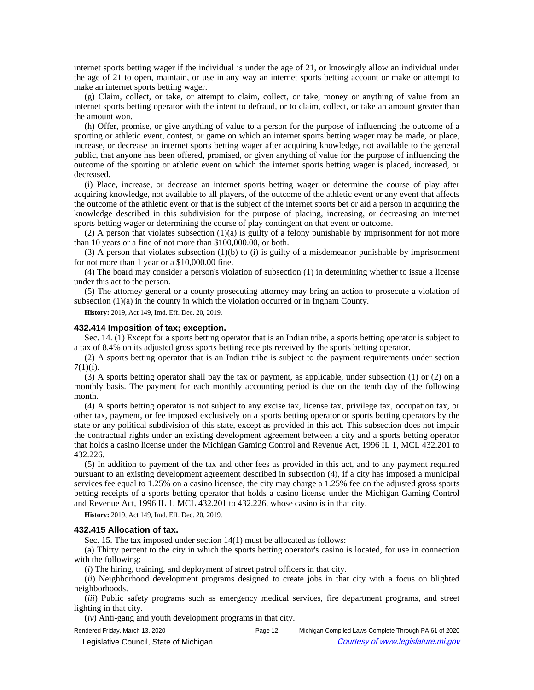internet sports betting wager if the individual is under the age of 21, or knowingly allow an individual under the age of 21 to open, maintain, or use in any way an internet sports betting account or make or attempt to make an internet sports betting wager.

(g) Claim, collect, or take, or attempt to claim, collect, or take, money or anything of value from an internet sports betting operator with the intent to defraud, or to claim, collect, or take an amount greater than the amount won.

(h) Offer, promise, or give anything of value to a person for the purpose of influencing the outcome of a sporting or athletic event, contest, or game on which an internet sports betting wager may be made, or place, increase, or decrease an internet sports betting wager after acquiring knowledge, not available to the general public, that anyone has been offered, promised, or given anything of value for the purpose of influencing the outcome of the sporting or athletic event on which the internet sports betting wager is placed, increased, or decreased.

(i) Place, increase, or decrease an internet sports betting wager or determine the course of play after acquiring knowledge, not available to all players, of the outcome of the athletic event or any event that affects the outcome of the athletic event or that is the subject of the internet sports bet or aid a person in acquiring the knowledge described in this subdivision for the purpose of placing, increasing, or decreasing an internet sports betting wager or determining the course of play contingent on that event or outcome.

(2) A person that violates subsection (1)(a) is guilty of a felony punishable by imprisonment for not more than 10 years or a fine of not more than \$100,000.00, or both.

(3) A person that violates subsection  $(1)(b)$  to (i) is guilty of a misdemeanor punishable by imprisonment for not more than 1 year or a \$10,000.00 fine.

(4) The board may consider a person's violation of subsection (1) in determining whether to issue a license under this act to the person.

(5) The attorney general or a county prosecuting attorney may bring an action to prosecute a violation of subsection  $(1)(a)$  in the county in which the violation occurred or in Ingham County.

**History:** 2019, Act 149, Imd. Eff. Dec. 20, 2019.

#### **432.414 Imposition of tax; exception.**

Sec. 14. (1) Except for a sports betting operator that is an Indian tribe, a sports betting operator is subject to a tax of 8.4% on its adjusted gross sports betting receipts received by the sports betting operator.

(2) A sports betting operator that is an Indian tribe is subject to the payment requirements under section  $7(1)(f)$ .

(3) A sports betting operator shall pay the tax or payment, as applicable, under subsection (1) or (2) on a monthly basis. The payment for each monthly accounting period is due on the tenth day of the following month.

(4) A sports betting operator is not subject to any excise tax, license tax, privilege tax, occupation tax, or other tax, payment, or fee imposed exclusively on a sports betting operator or sports betting operators by the state or any political subdivision of this state, except as provided in this act. This subsection does not impair the contractual rights under an existing development agreement between a city and a sports betting operator that holds a casino license under the Michigan Gaming Control and Revenue Act, 1996 IL 1, MCL 432.201 to 432.226.

(5) In addition to payment of the tax and other fees as provided in this act, and to any payment required pursuant to an existing development agreement described in subsection (4), if a city has imposed a municipal services fee equal to 1.25% on a casino licensee, the city may charge a 1.25% fee on the adjusted gross sports betting receipts of a sports betting operator that holds a casino license under the Michigan Gaming Control and Revenue Act, 1996 IL 1, MCL 432.201 to 432.226, whose casino is in that city.

**History:** 2019, Act 149, Imd. Eff. Dec. 20, 2019.

### **432.415 Allocation of tax.**

Sec. 15. The tax imposed under section 14(1) must be allocated as follows:

(a) Thirty percent to the city in which the sports betting operator's casino is located, for use in connection with the following:

(*i*) The hiring, training, and deployment of street patrol officers in that city.

(*ii*) Neighborhood development programs designed to create jobs in that city with a focus on blighted neighborhoods.

(*iii*) Public safety programs such as emergency medical services, fire department programs, and street lighting in that city.

(*iv*) Anti-gang and youth development programs in that city.

Rendered Friday, March 13, 2020 **Page 12** Michigan Compiled Laws Complete Through PA 61 of 2020 © Legislative Council, State of Michigan Council Courtesy of www.legislature.mi.gov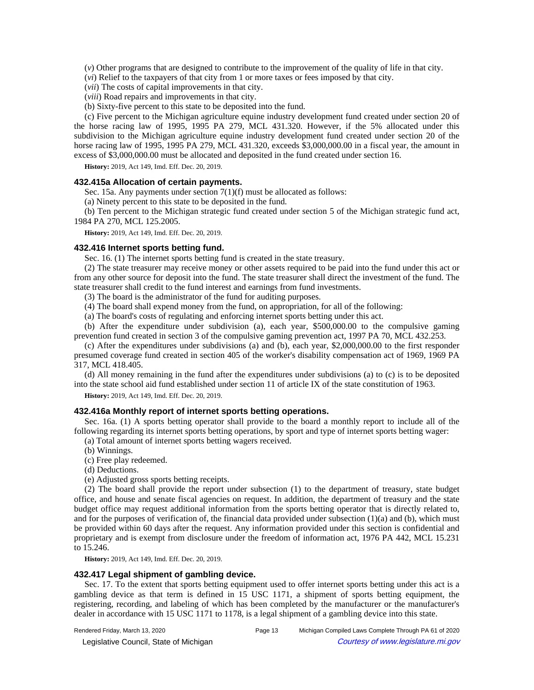(*v*) Other programs that are designed to contribute to the improvement of the quality of life in that city.

(*vi*) Relief to the taxpayers of that city from 1 or more taxes or fees imposed by that city.

(*vii*) The costs of capital improvements in that city.

(*viii*) Road repairs and improvements in that city.

(b) Sixty-five percent to this state to be deposited into the fund.

(c) Five percent to the Michigan agriculture equine industry development fund created under section 20 of the horse racing law of 1995, 1995 PA 279, MCL 431.320. However, if the 5% allocated under this subdivision to the Michigan agriculture equine industry development fund created under section 20 of the horse racing law of 1995, 1995 PA 279, MCL 431.320, exceeds \$3,000,000.00 in a fiscal year, the amount in excess of \$3,000,000.00 must be allocated and deposited in the fund created under section 16.

**History:** 2019, Act 149, Imd. Eff. Dec. 20, 2019.

# **432.415a Allocation of certain payments.**

Sec. 15a. Any payments under section 7(1)(f) must be allocated as follows:

(a) Ninety percent to this state to be deposited in the fund.

(b) Ten percent to the Michigan strategic fund created under section 5 of the Michigan strategic fund act, 1984 PA 270, MCL 125.2005.

**History:** 2019, Act 149, Imd. Eff. Dec. 20, 2019.

#### **432.416 Internet sports betting fund.**

Sec. 16. (1) The internet sports betting fund is created in the state treasury.

(2) The state treasurer may receive money or other assets required to be paid into the fund under this act or from any other source for deposit into the fund. The state treasurer shall direct the investment of the fund. The state treasurer shall credit to the fund interest and earnings from fund investments.

(3) The board is the administrator of the fund for auditing purposes.

(4) The board shall expend money from the fund, on appropriation, for all of the following:

(a) The board's costs of regulating and enforcing internet sports betting under this act.

(b) After the expenditure under subdivision (a), each year, \$500,000.00 to the compulsive gaming prevention fund created in section 3 of the compulsive gaming prevention act, 1997 PA 70, MCL 432.253.

(c) After the expenditures under subdivisions (a) and (b), each year, \$2,000,000.00 to the first responder presumed coverage fund created in section 405 of the worker's disability compensation act of 1969, 1969 PA 317, MCL 418.405.

(d) All money remaining in the fund after the expenditures under subdivisions (a) to (c) is to be deposited into the state school aid fund established under section 11 of article IX of the state constitution of 1963.

**History:** 2019, Act 149, Imd. Eff. Dec. 20, 2019.

## **432.416a Monthly report of internet sports betting operations.**

Sec. 16a. (1) A sports betting operator shall provide to the board a monthly report to include all of the following regarding its internet sports betting operations, by sport and type of internet sports betting wager:

- (a) Total amount of internet sports betting wagers received.
- (b) Winnings.
- (c) Free play redeemed.
- (d) Deductions.
- (e) Adjusted gross sports betting receipts.

(2) The board shall provide the report under subsection (1) to the department of treasury, state budget office, and house and senate fiscal agencies on request. In addition, the department of treasury and the state budget office may request additional information from the sports betting operator that is directly related to, and for the purposes of verification of, the financial data provided under subsection  $(1)(a)$  and  $(b)$ , which must be provided within 60 days after the request. Any information provided under this section is confidential and proprietary and is exempt from disclosure under the freedom of information act, 1976 PA 442, MCL 15.231 to 15.246.

**History:** 2019, Act 149, Imd. Eff. Dec. 20, 2019.

## **432.417 Legal shipment of gambling device.**

Sec. 17. To the extent that sports betting equipment used to offer internet sports betting under this act is a gambling device as that term is defined in 15 USC 1171, a shipment of sports betting equipment, the registering, recording, and labeling of which has been completed by the manufacturer or the manufacturer's dealer in accordance with 15 USC 1171 to 1178, is a legal shipment of a gambling device into this state.